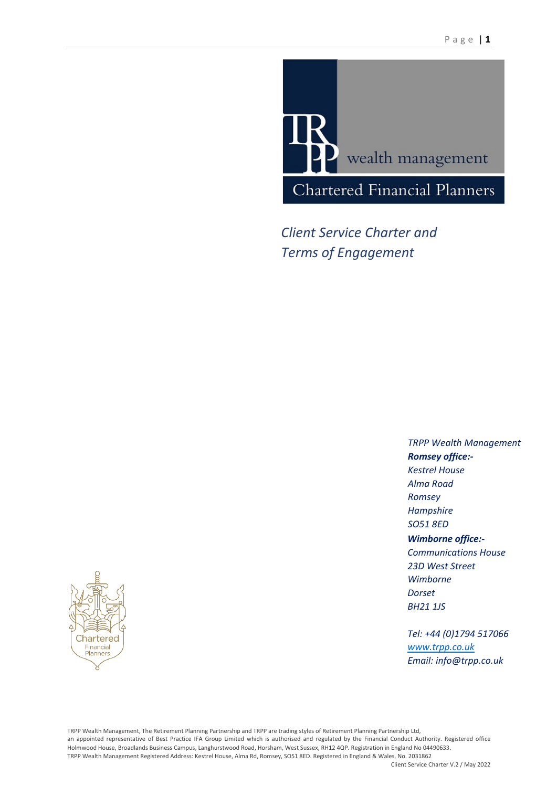$\overline{\phantom{a}}$ 



*Client Service Charter and Terms of Engagement*

> *Wimborne office:- Communications House 23D West Street Wimborne Dorset BH21 1JS TRPP Wealth Management Romsey office:- Kestrel House Alma Road Romsey Hampshire SO51 8ED*

*Tel: +44 (0)1794 517066 [www.trpp.co.uk](http://www.trpp.co.uk/) Email: info@trpp.co.uk* 

TRPP Wealth Management, The Retirement Planning Partnership and TRPP are trading styles of Retirement Planning Partnership Ltd, an appointed representative of Best Practice IFA Group Limited which is authorised and regulated by the Financial Conduct Authority. Registered office Holmwood House, Broadlands Business Campus, Langhurstwood Road, Horsham, West Sussex, RH12 4QP. Registration in England No 04490633. TRPP Wealth Management Registered Address: Kestrel House, Alma Rd, Romsey, SO51 8ED. Registered in England & Wales, No. 2031862

hartered Financial Planner

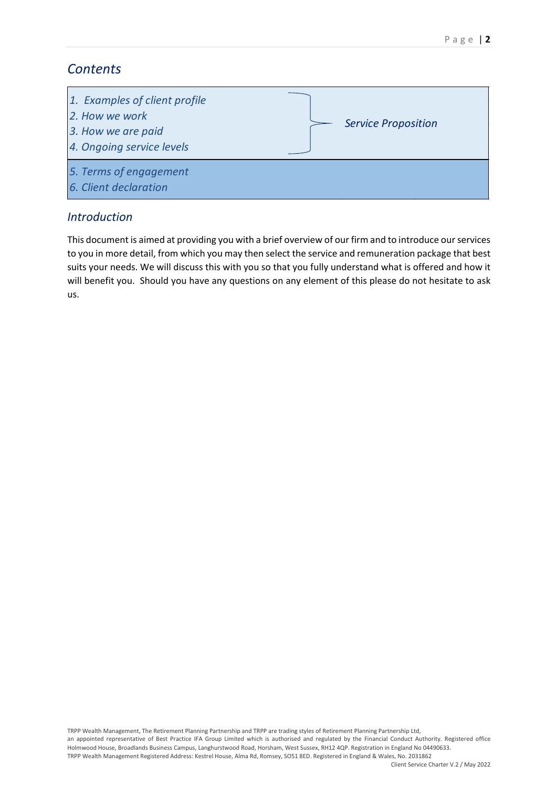## *Contents*

| 1. Examples of client profile<br>2. How we work<br>3. How we are paid<br>4. Ongoing service levels | <b>Service Proposition</b> |
|----------------------------------------------------------------------------------------------------|----------------------------|
| 5. Terms of engagement<br>6. Client declaration                                                    |                            |

#### *Introduction*

This document is aimed at providing you with a brief overview of our firm and to introduce our services to you in more detail, from which you may then select the service and remuneration package that best suits your needs. We will discuss this with you so that you fully understand what is offered and how it will benefit you. Should you have any questions on any element of this please do not hesitate to ask us.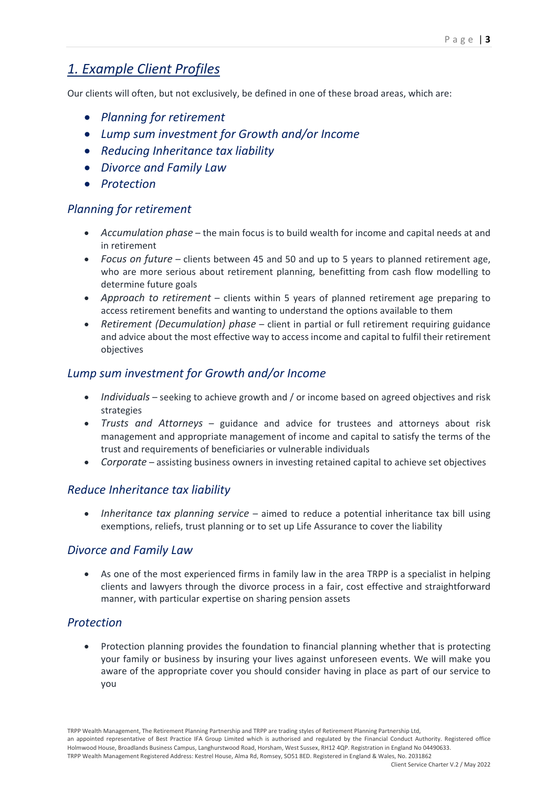## *1. Example Client Profiles*

Our clients will often, but not exclusively, be defined in one of these broad areas, which are:

- *Planning for retirement*
- *Lump sum investment for Growth and/or Income*
- *Reducing Inheritance tax liability*
- *Divorce and Family Law*
- *Protection*

### *Planning for retirement*

- *Accumulation phase* the main focus is to build wealth for income and capital needs at and in retirement
- *Focus on future* clients between 45 and 50 and up to 5 years to planned retirement age, who are more serious about retirement planning, benefitting from cash flow modelling to determine future goals
- *Approach to retirement* clients within 5 years of planned retirement age preparing to access retirement benefits and wanting to understand the options available to them
- *Retirement (Decumulation) phase* client in partial or full retirement requiring guidance and advice about the most effective way to access income and capital to fulfil their retirement objectives

### *Lump sum investment for Growth and/or Income*

- *Individuals* seeking to achieve growth and / or income based on agreed objectives and risk strategies
- *Trusts and Attorneys* guidance and advice for trustees and attorneys about risk management and appropriate management of income and capital to satisfy the terms of the trust and requirements of beneficiaries or vulnerable individuals
- *Corporate* assisting business owners in investing retained capital to achieve set objectives

### *Reduce Inheritance tax liability*

• *Inheritance tax planning service* – aimed to reduce a potential inheritance tax bill using exemptions, reliefs, trust planning or to set up Life Assurance to cover the liability

#### *Divorce and Family Law*

• As one of the most experienced firms in family law in the area TRPP is a specialist in helping clients and lawyers through the divorce process in a fair, cost effective and straightforward manner, with particular expertise on sharing pension assets

### *Protection*

• Protection planning provides the foundation to financial planning whether that is protecting your family or business by insuring your lives against unforeseen events. We will make you aware of the appropriate cover you should consider having in place as part of our service to you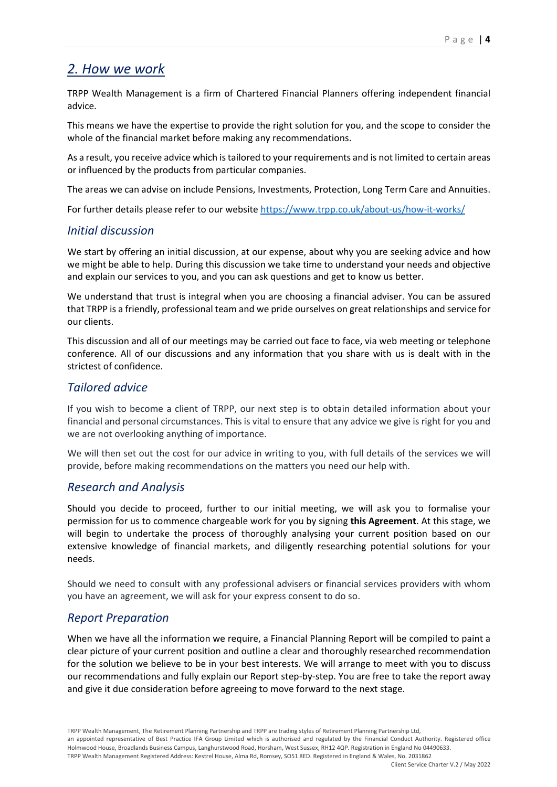# *2. How we work*

TRPP Wealth Management is a firm of Chartered Financial Planners offering independent financial advice.

This means we have the expertise to provide the right solution for you, and the scope to consider the whole of the financial market before making any recommendations.

As a result, you receive advice which is tailored to your requirements and is not limited to certain areas or influenced by the products from particular companies.

The areas we can advise on include Pensions, Investments, Protection, Long Term Care and Annuities.

For further details please refer to our website <https://www.trpp.co.uk/about-us/how-it-works/>

#### *Initial discussion*

We start by offering an initial discussion, at our expense, about why you are seeking advice and how we might be able to help. During this discussion we take time to understand your needs and objective and explain our services to you, and you can ask questions and get to know us better.

We understand that trust is integral when you are choosing a financial adviser. You can be assured that TRPP is a friendly, professional team and we pride ourselves on great relationships and service for our clients.

This discussion and all of our meetings may be carried out face to face, via web meeting or telephone conference. All of our discussions and any information that you share with us is dealt with in the strictest of confidence.

### *Tailored advice*

If you wish to become a client of TRPP, our next step is to obtain detailed information about your financial and personal circumstances. This is vital to ensure that any advice we give is right for you and we are not overlooking anything of importance.

We will then set out the cost for our advice in writing to you, with full details of the services we will provide, before making recommendations on the matters you need our help with.

### *Research and Analysis*

Should you decide to proceed, further to our initial meeting, we will ask you to formalise your permission for us to commence chargeable work for you by signing **this Agreement**. At this stage, we will begin to undertake the process of thoroughly analysing your current position based on our extensive knowledge of financial markets, and diligently researching potential solutions for your needs.

Should we need to consult with any professional advisers or financial services providers with whom you have an agreement, we will ask for your express consent to do so.

### *Report Preparation*

When we have all the information we require, a Financial Planning Report will be compiled to paint a clear picture of your current position and outline a clear and thoroughly researched recommendation for the solution we believe to be in your best interests. We will arrange to meet with you to discuss our recommendations and fully explain our Report step-by-step. You are free to take the report away and give it due consideration before agreeing to move forward to the next stage.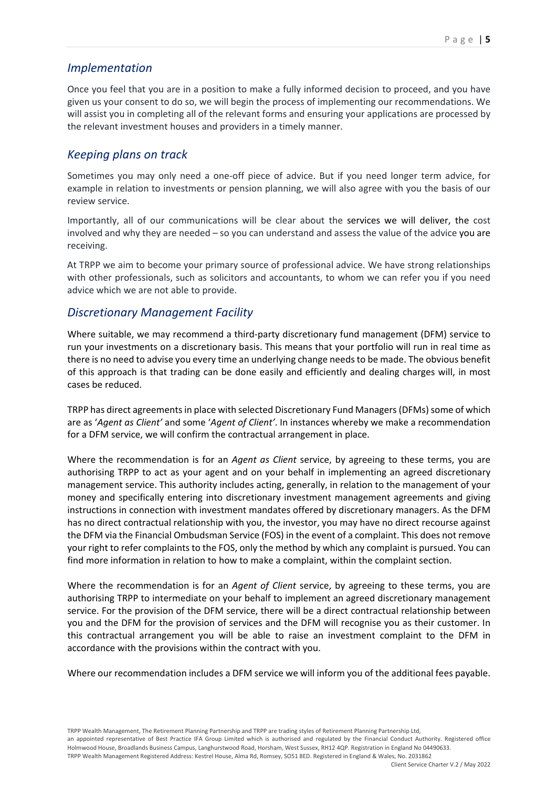### *Implementation*

Once you feel that you are in a position to make a fully informed decision to proceed, and you have given us your consent to do so, we will begin the process of implementing our recommendations. We will assist you in completing all of the relevant forms and ensuring your applications are processed by the relevant investment houses and providers in a timely manner.

#### *Keeping plans on track*

Sometimes you may only need a one-off piece of advice. But if you need longer term advice, for example in relation to investments or pension planning, we will also agree with you the basis of our review service.

Importantly, all of our communications will be clear about the services we will deliver, the cost involved and why they are needed – so you can understand and assess the value of the advice you are receiving.

At TRPP we aim to become your primary source of professional advice. We have strong relationships with other professionals, such as solicitors and accountants, to whom we can refer you if you need advice which we are not able to provide.

#### *Discretionary Management Facility*

Where suitable, we may recommend a third-party discretionary fund management (DFM) service to run your investments on a discretionary basis. This means that your portfolio will run in real time as there is no need to advise you every time an underlying change needs to be made. The obvious benefit of this approach is that trading can be done easily and efficiently and dealing charges will, in most cases be reduced.

TRPP has direct agreements in place with selected Discretionary Fund Managers (DFMs) some of which are as '*Agent as Client'* and some '*Agent of Client'*. In instances whereby we make a recommendation for a DFM service, we will confirm the contractual arrangement in place.

Where the recommendation is for an *Agent as Client* service, by agreeing to these terms, you are authorising TRPP to act as your agent and on your behalf in implementing an agreed discretionary management service. This authority includes acting, generally, in relation to the management of your money and specifically entering into discretionary investment management agreements and giving instructions in connection with investment mandates offered by discretionary managers. As the DFM has no direct contractual relationship with you, the investor, you may have no direct recourse against the DFM via the Financial Ombudsman Service (FOS) in the event of a complaint. This does not remove your right to refer complaints to the FOS, only the method by which any complaint is pursued. You can find more information in relation to how to make a complaint, within the complaint section.

Where the recommendation is for an *Agent of Client* service, by agreeing to these terms, you are authorising TRPP to intermediate on your behalf to implement an agreed discretionary management service. For the provision of the DFM service, there will be a direct contractual relationship between you and the DFM for the provision of services and the DFM will recognise you as their customer. In this contractual arrangement you will be able to raise an investment complaint to the DFM in accordance with the provisions within the contract with you.

Where our recommendation includes a DFM service we will inform you of the additional fees payable.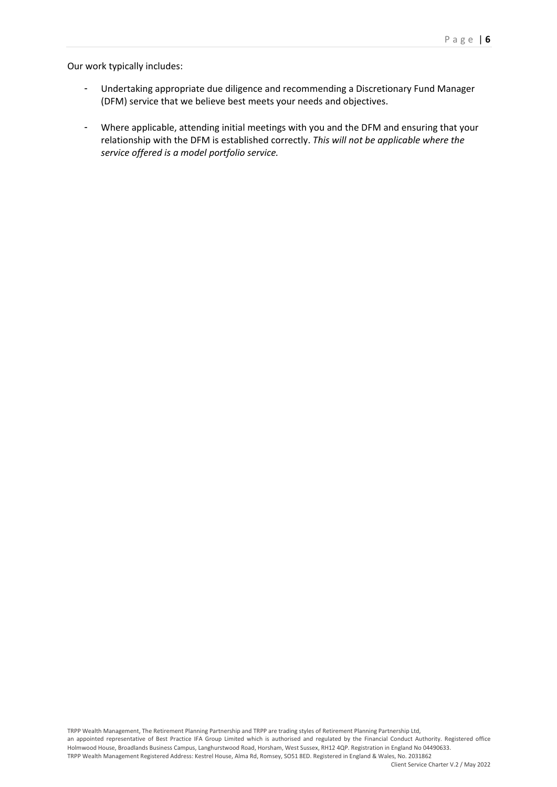Our work typically includes:

- Undertaking appropriate due diligence and recommending a Discretionary Fund Manager (DFM) service that we believe best meets your needs and objectives.
- Where applicable, attending initial meetings with you and the DFM and ensuring that your relationship with the DFM is established correctly. *This will not be applicable where the service offered is a model portfolio service.*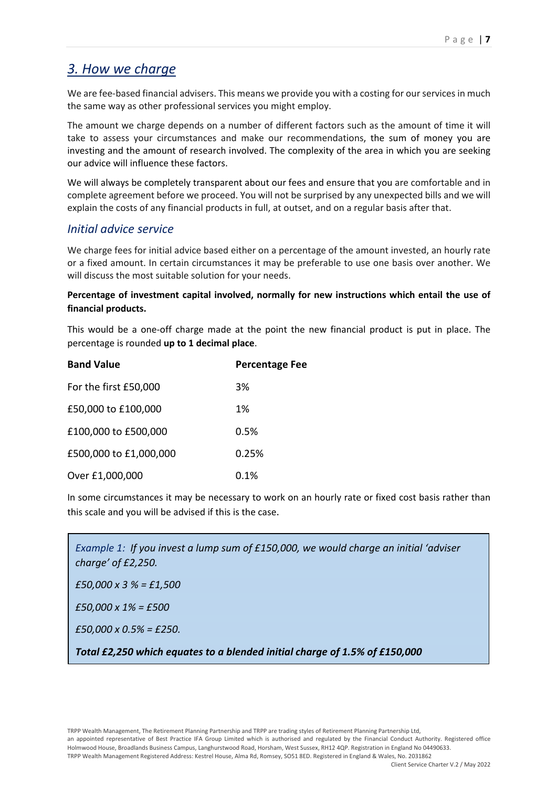## *3. How we charge*

We are fee-based financial advisers. This means we provide you with a costing for our services in much the same way as other professional services you might employ.

The amount we charge depends on a number of different factors such as the amount of time it will take to assess your circumstances and make our recommendations, the sum of money you are investing and the amount of research involved. The complexity of the area in which you are seeking our advice will influence these factors.

We will always be completely transparent about our fees and ensure that you are comfortable and in complete agreement before we proceed. You will not be surprised by any unexpected bills and we will explain the costs of any financial products in full, at outset, and on a regular basis after that.

#### *Initial advice service*

We charge fees for initial advice based either on a percentage of the amount invested, an hourly rate or a fixed amount. In certain circumstances it may be preferable to use one basis over another. We will discuss the most suitable solution for your needs.

#### **Percentage of investment capital involved, normally for new instructions which entail the use of financial products.**

This would be a one-off charge made at the point the new financial product is put in place. The percentage is rounded **up to 1 decimal place**.

| <b>Band Value</b>      | <b>Percentage Fee</b> |
|------------------------|-----------------------|
| For the first £50,000  | 3%                    |
| £50,000 to £100,000    | 1%                    |
| £100,000 to £500,000   | 0.5%                  |
| £500,000 to £1,000,000 | 0.25%                 |
| Over £1,000,000        | 0.1%                  |

In some circumstances it may be necessary to work on an hourly rate or fixed cost basis rather than this scale and you will be advised if this is the case.

*Example 1: If you invest a lump sum of £150,000, we would charge an initial 'adviser charge' of £2,250.* 

*£50,000 x 3 % = £1,500*

*£50,000 x 1% = £500*

*£50,000 x 0.5% = £250.* 

*Total £2,250 which equates to a blended initial charge of 1.5% of £150,000*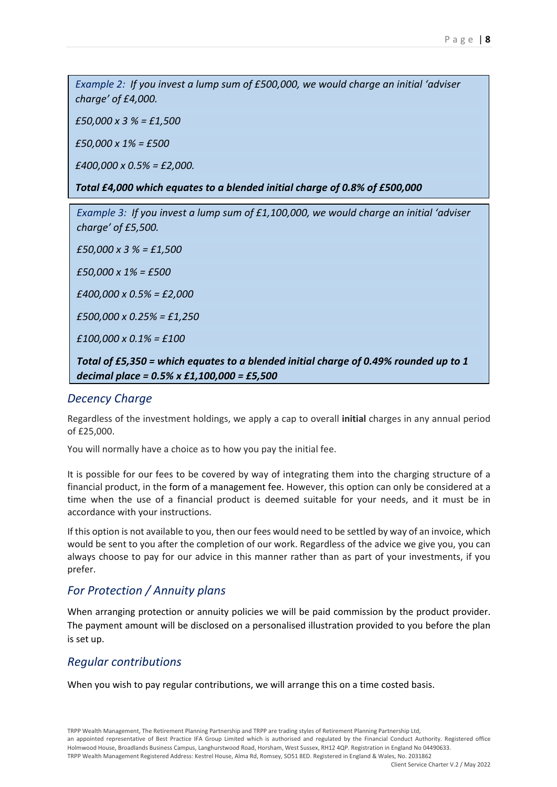*Example 2: If you invest a lump sum of £500,000, we would charge an initial 'adviser charge' of £4,000.* 

*£50,000 x 3 % = £1,500*

*£50,000 x 1% = £500*

*£400,000 x 0.5% = £2,000.* 

*Total £4,000 which equates to a blended initial charge of 0.8% of £500,000*

*Example 3: If you invest a lump sum of £1,100,000, we would charge an initial 'adviser charge' of £5,500.* 

*£50,000 x 3 % = £1,500*

*£50,000 x 1% = £500*

*£400,000 x 0.5% = £2,000*

*£500,000 x 0.25% = £1,250*

*£100,000 x 0.1% = £100*

*Total of £5,350 = which equates to a blended initial charge of 0.49% rounded up to 1 decimal place = 0.5% x £1,100,000 = £5,500*

#### *Decency Charge*

Regardless of the investment holdings, we apply a cap to overall **initial** charges in any annual period of £25,000.

You will normally have a choice as to how you pay the initial fee.

It is possible for our fees to be covered by way of integrating them into the charging structure of a financial product, in the form of a management fee. However, this option can only be considered at a time when the use of a financial product is deemed suitable for your needs, and it must be in accordance with your instructions.

If this option is not available to you, then our fees would need to be settled by way of an invoice, which would be sent to you after the completion of our work. Regardless of the advice we give you, you can always choose to pay for our advice in this manner rather than as part of your investments, if you prefer.

#### *For Protection / Annuity plans*

When arranging protection or annuity policies we will be paid commission by the product provider. The payment amount will be disclosed on a personalised illustration provided to you before the plan is set up.

#### *Regular contributions*

When you wish to pay regular contributions, we will arrange this on a time costed basis.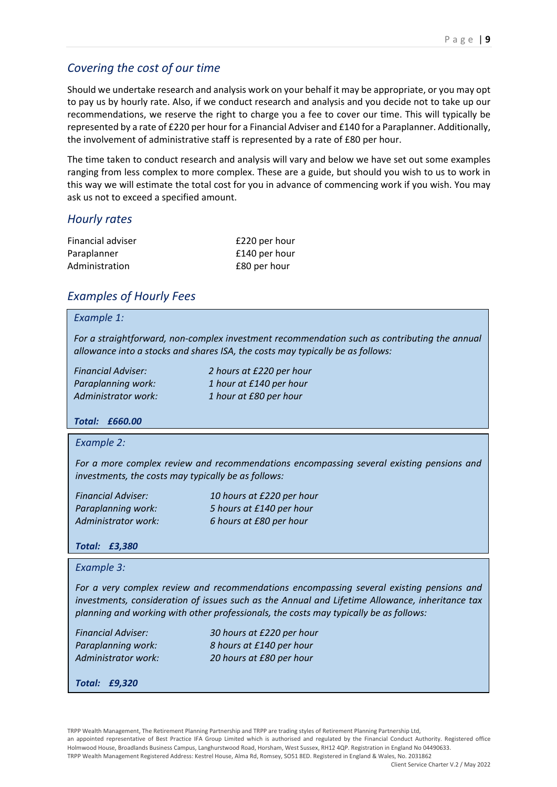### *Covering the cost of our time*

Should we undertake research and analysis work on your behalf it may be appropriate, or you may opt to pay us by hourly rate. Also, if we conduct research and analysis and you decide not to take up our recommendations, we reserve the right to charge you a fee to cover our time. This will typically be represented by a rate of £220 per hour for a Financial Adviser and £140 for a Paraplanner. Additionally, the involvement of administrative staff is represented by a rate of £80 per hour.

The time taken to conduct research and analysis will vary and below we have set out some examples ranging from less complex to more complex. These are a guide, but should you wish to us to work in this way we will estimate the total cost for you in advance of commencing work if you wish. You may ask us not to exceed a specified amount.

#### *Hourly rates*

| Financial adviser | £220 per hour |
|-------------------|---------------|
| Paraplanner       | £140 per hour |
| Administration    | £80 per hour  |

### *Examples of Hourly Fees*

#### *Example 1:*

*For a straightforward, non-complex investment recommendation such as contributing the annual allowance into a stocks and shares ISA, the costs may typically be as follows:*

*Financial Adviser: 2 hours at £220 per hour Paraplanning work: 1 hour at £140 per hour Administrator work: 1 hour at £80 per hour*

*Total: £660.00*

#### *Example 2:*

*For a more complex review and recommendations encompassing several existing pensions and investments, the costs may typically be as follows:*

*Financial Adviser: 10 hours at £220 per hour*

*Paraplanning work: 5 hours at £140 per hour Administrator work: 6 hours at £80 per hour*

#### *Total: £3,380*

#### *Example 3:*

*For a very complex review and recommendations encompassing several existing pensions and investments, consideration of issues such as the Annual and Lifetime Allowance, inheritance tax planning and working with other professionals, the costs may typically be as follows:*

*Financial Adviser: 30 hours at £220 per hour Paraplanning work: 8 hours at £140 per hour Administrator work: 20 hours at £80 per hour*

*Total: £9,320*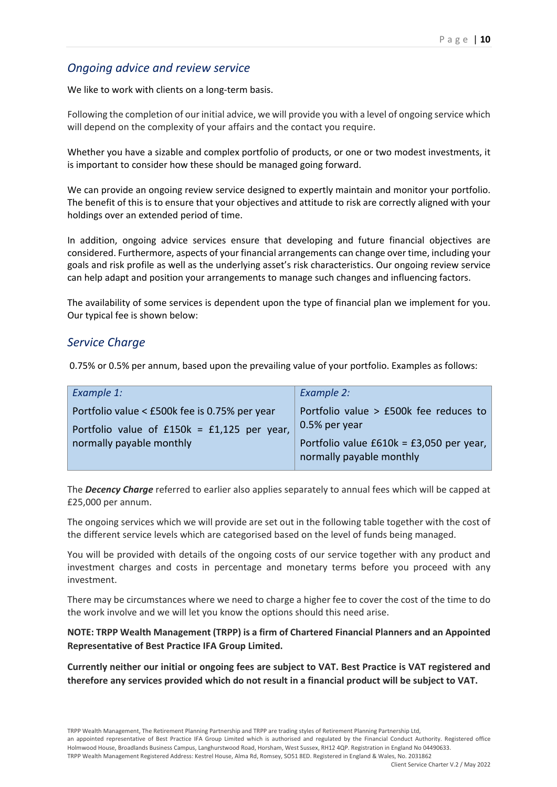### *Ongoing advice and review service*

We like to work with clients on a long-term basis.

Following the completion of our initial advice, we will provide you with a level of ongoing service which will depend on the complexity of your affairs and the contact you require.

Whether you have a sizable and complex portfolio of products, or one or two modest investments, it is important to consider how these should be managed going forward.

We can provide an ongoing review service designed to expertly maintain and monitor your portfolio. The benefit of this is to ensure that your objectives and attitude to risk are correctly aligned with your holdings over an extended period of time.

In addition, ongoing advice services ensure that developing and future financial objectives are considered. Furthermore, aspects of your financial arrangements can change over time, including your goals and risk profile as well as the underlying asset's risk characteristics. Our ongoing review service can help adapt and position your arrangements to manage such changes and influencing factors.

The availability of some services is dependent upon the type of financial plan we implement for you. Our typical fee is shown below:

#### *Service Charge*

0.75% or 0.5% per annum, based upon the prevailing value of your portfolio. Examples as follows:

| Example 1:                                                                                                                 | Example 2:                                                                                          |
|----------------------------------------------------------------------------------------------------------------------------|-----------------------------------------------------------------------------------------------------|
| Portfolio value < £500k fee is 0.75% per year<br>Portfolio value of $£150k = £1,125$ per year,<br>normally payable monthly | Portfolio value > £500k fee reduces to<br>0.5% per year<br>Portfolio value £610k = £3,050 per year, |
|                                                                                                                            | normally payable monthly                                                                            |

The *Decency Charge* referred to earlier also applies separately to annual fees which will be capped at £25,000 per annum.

The ongoing services which we will provide are set out in the following table together with the cost of the different service levels which are categorised based on the level of funds being managed.

You will be provided with details of the ongoing costs of our service together with any product and investment charges and costs in percentage and monetary terms before you proceed with any investment.

There may be circumstances where we need to charge a higher fee to cover the cost of the time to do the work involve and we will let you know the options should this need arise.

#### **NOTE: TRPP Wealth Management (TRPP) is a firm of Chartered Financial Planners and an Appointed Representative of Best Practice IFA Group Limited.**

**Currently neither our initial or ongoing fees are subject to VAT. Best Practice is VAT registered and therefore any services provided which do not result in a financial product will be subject to VAT.**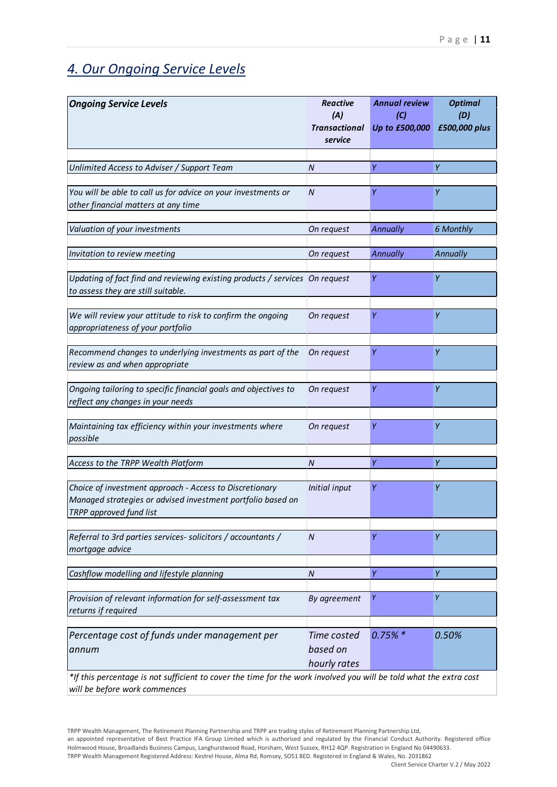# *4. Our Ongoing Service Levels*

| <b>Ongoing Service Levels</b>                                                                                                                                                | Reactive<br>(A)<br><b>Transactional</b><br>service | <b>Annual review</b><br>(C)<br>Up to £500,000 | <b>Optimal</b><br>(D)<br>£500,000 plus |
|------------------------------------------------------------------------------------------------------------------------------------------------------------------------------|----------------------------------------------------|-----------------------------------------------|----------------------------------------|
|                                                                                                                                                                              |                                                    |                                               |                                        |
| Unlimited Access to Adviser / Support Team                                                                                                                                   | N                                                  | Y                                             | Y                                      |
| You will be able to call us for advice on your investments or<br>other financial matters at any time                                                                         | N                                                  | Y                                             | Y                                      |
| Valuation of your investments                                                                                                                                                | On request                                         | Annually                                      | 6 Monthly                              |
|                                                                                                                                                                              |                                                    |                                               |                                        |
| Invitation to review meeting                                                                                                                                                 | On request                                         | <b>Annually</b>                               | Annually                               |
| Updating of fact find and reviewing existing products / services On request<br>to assess they are still suitable.                                                            |                                                    | Y                                             | Y                                      |
| We will review your attitude to risk to confirm the ongoing<br>appropriateness of your portfolio                                                                             | On request                                         | Υ                                             | Y                                      |
| Recommend changes to underlying investments as part of the<br>review as and when appropriate                                                                                 | On request                                         | Y                                             | Y                                      |
| Ongoing tailoring to specific financial goals and objectives to<br>reflect any changes in your needs                                                                         | On request                                         | Y                                             | Y                                      |
| Maintaining tax efficiency within your investments where<br>possible                                                                                                         | On request                                         | Y                                             | Y                                      |
|                                                                                                                                                                              |                                                    |                                               |                                        |
| Access to the TRPP Wealth Platform                                                                                                                                           | N                                                  | Y                                             | Y                                      |
| Choice of investment approach - Access to Discretionary<br>Managed strategies or advised investment portfolio based on<br>TRPP approved fund list                            | Initial input                                      | Y                                             | Y                                      |
| Referral to 3rd parties services- solicitors / accountants /<br>mortgage advice                                                                                              | N                                                  | Y                                             | Y                                      |
| Cashflow modelling and lifestyle planning                                                                                                                                    | N                                                  | Y                                             | Y                                      |
|                                                                                                                                                                              |                                                    |                                               |                                        |
| Provision of relevant information for self-assessment tax<br>returns if required                                                                                             | By agreement                                       | Y                                             | $\mathsf{Y}$                           |
| Percentage cost of funds under management per<br>annum<br>*If this percentage is not sufficient to cover the time for the work involved you will be told what the extra cost | Time costed<br>based on<br>hourly rates            | $0.75%$ *                                     | 0.50%                                  |

*will be before work commences*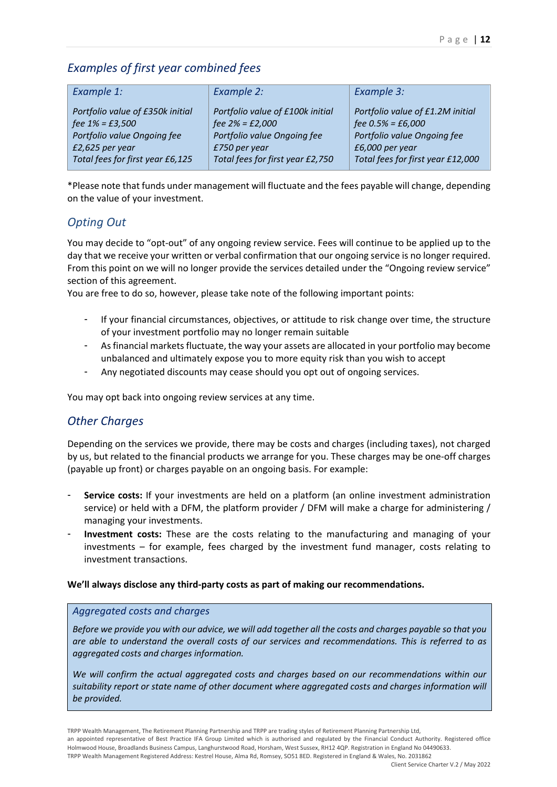## *Examples of first year combined fees*

| Example 1:                       | Example 2:                       | Example 3:                        |
|----------------------------------|----------------------------------|-----------------------------------|
| Portfolio value of £350k initial | Portfolio value of £100k initial | Portfolio value of £1.2M initial  |
| fee $1\% = £3,500$               | fee $2% = £2,000$                | fee $0.5% = £6,000$               |
| Portfolio value Ongoing fee      | Portfolio value Ongoing fee      | Portfolio value Ongoing fee       |
| £2,625 per year                  | £750 per year                    | £6,000 per year                   |
| Total fees for first year £6,125 | Total fees for first year £2,750 | Total fees for first year £12,000 |

\*Please note that funds under management will fluctuate and the fees payable will change, depending on the value of your investment.

### *Opting Out*

You may decide to "opt-out" of any ongoing review service. Fees will continue to be applied up to the day that we receive your written or verbal confirmation that our ongoing service is no longer required. From this point on we will no longer provide the services detailed under the "Ongoing review service" section of this agreement.

You are free to do so, however, please take note of the following important points:

- If your financial circumstances, objectives, or attitude to risk change over time, the structure of your investment portfolio may no longer remain suitable
- As financial markets fluctuate, the way your assets are allocated in your portfolio may become unbalanced and ultimately expose you to more equity risk than you wish to accept
- Any negotiated discounts may cease should you opt out of ongoing services.

You may opt back into ongoing review services at any time.

### *Other Charges*

Depending on the services we provide, there may be costs and charges (including taxes), not charged by us, but related to the financial products we arrange for you. These charges may be one-off charges (payable up front) or charges payable on an ongoing basis. For example:

- **Service costs:** If your investments are held on a platform (an online investment administration service) or held with a DFM, the platform provider / DFM will make a charge for administering / managing your investments.
- **Investment costs:** These are the costs relating to the manufacturing and managing of your investments – for example, fees charged by the investment fund manager, costs relating to investment transactions.

#### **We'll always disclose any third-party costs as part of making our recommendations.**

#### *Aggregated costs and charges*

*Before we provide you with our advice, we will add together all the costs and charges payable so that you are able to understand the overall costs of our services and recommendations. This is referred to as aggregated costs and charges information.* 

*We will confirm the actual aggregated costs and charges based on our recommendations within our suitability report or state name of other document where aggregated costs and charges information will be provided.*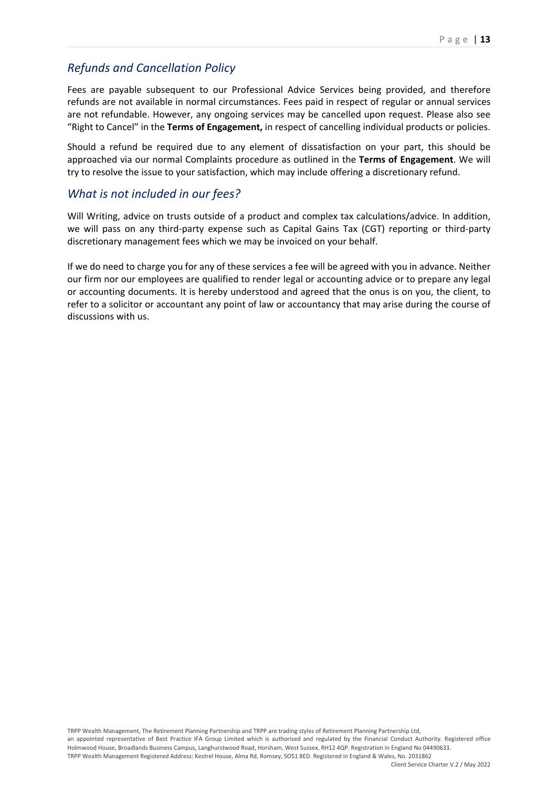### *Refunds and Cancellation Policy*

Fees are payable subsequent to our Professional Advice Services being provided, and therefore refunds are not available in normal circumstances. Fees paid in respect of regular or annual services are not refundable. However, any ongoing services may be cancelled upon request. Please also see "Right to Cancel" in the **Terms of Engagement,** in respect of cancelling individual products or policies.

Should a refund be required due to any element of dissatisfaction on your part, this should be approached via our normal Complaints procedure as outlined in the **Terms of Engagement**. We will try to resolve the issue to your satisfaction, which may include offering a discretionary refund.

#### *What is not included in our fees?*

Will Writing, advice on trusts outside of a product and complex tax calculations/advice. In addition, we will pass on any third-party expense such as Capital Gains Tax (CGT) reporting or third-party discretionary management fees which we may be invoiced on your behalf.

If we do need to charge you for any of these services a fee will be agreed with you in advance. Neither our firm nor our employees are qualified to render legal or accounting advice or to prepare any legal or accounting documents. It is hereby understood and agreed that the onus is on you, the client, to refer to a solicitor or accountant any point of law or accountancy that may arise during the course of discussions with us.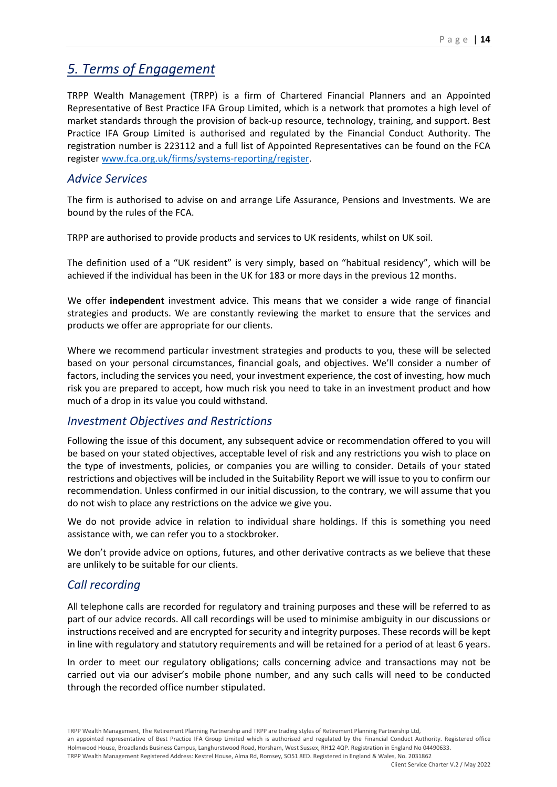## *5. Terms of Engagement*

TRPP Wealth Management (TRPP) is a firm of Chartered Financial Planners and an Appointed Representative of Best Practice IFA Group Limited, which is a network that promotes a high level of market standards through the provision of back-up resource, technology, training, and support. Best Practice IFA Group Limited is authorised and regulated by the Financial Conduct Authority. The registration number is 223112 and a full list of Appointed Representatives can be found on the FCA register [www.fca.org.uk/firms/systems-reporting/register.](http://www.fca.org.uk/firms/systems-reporting/register)

#### *Advice Services*

The firm is authorised to advise on and arrange Life Assurance, Pensions and Investments. We are bound by the rules of the FCA.

TRPP are authorised to provide products and services to UK residents, whilst on UK soil.

The definition used of a "UK resident" is very simply, based on "habitual residency", which will be achieved if the individual has been in the UK for 183 or more days in the previous 12 months.

We offer **independent** investment advice. This means that we consider a wide range of financial strategies and products. We are constantly reviewing the market to ensure that the services and products we offer are appropriate for our clients.

Where we recommend particular investment strategies and products to you, these will be selected based on your personal circumstances, financial goals, and objectives. We'll consider a number of factors, including the services you need, your investment experience, the cost of investing, how much risk you are prepared to accept, how much risk you need to take in an investment product and how much of a drop in its value you could withstand.

#### *Investment Objectives and Restrictions*

Following the issue of this document, any subsequent advice or recommendation offered to you will be based on your stated objectives, acceptable level of risk and any restrictions you wish to place on the type of investments, policies, or companies you are willing to consider. Details of your stated restrictions and objectives will be included in the Suitability Report we will issue to you to confirm our recommendation. Unless confirmed in our initial discussion, to the contrary, we will assume that you do not wish to place any restrictions on the advice we give you.

We do not provide advice in relation to individual share holdings. If this is something you need assistance with, we can refer you to a stockbroker.

We don't provide advice on options, futures, and other derivative contracts as we believe that these are unlikely to be suitable for our clients.

### *Call recording*

All telephone calls are recorded for regulatory and training purposes and these will be referred to as part of our advice records. All call recordings will be used to minimise ambiguity in our discussions or instructions received and are encrypted for security and integrity purposes. These records will be kept in line with regulatory and statutory requirements and will be retained for a period of at least 6 years.

In order to meet our regulatory obligations; calls concerning advice and transactions may not be carried out via our adviser's mobile phone number, and any such calls will need to be conducted through the recorded office number stipulated.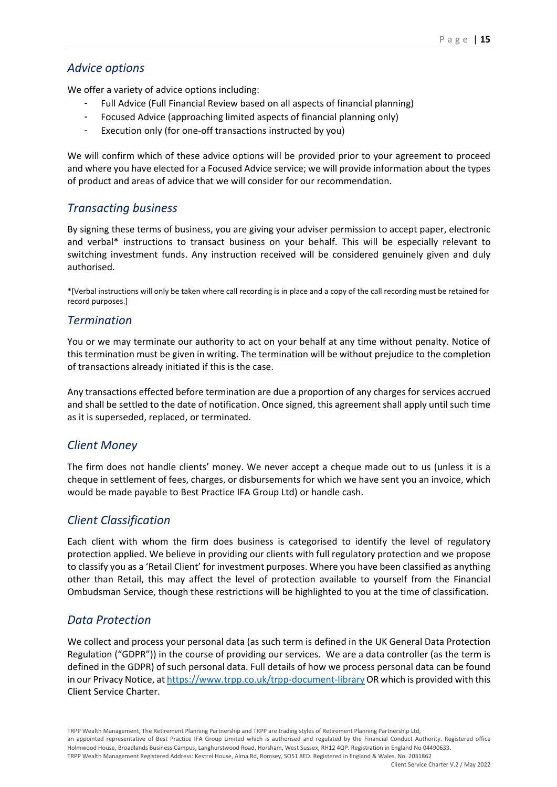### *Advice options*

We offer a variety of advice options including:

- Full Advice (Full Financial Review based on all aspects of financial planning)
- Focused Advice (approaching limited aspects of financial planning only)
- Execution only (for one-off transactions instructed by you)

We will confirm which of these advice options will be provided prior to your agreement to proceed and where you have elected for a Focused Advice service; we will provide information about the types of product and areas of advice that we will consider for our recommendation.

#### *Transacting business*

By signing these terms of business, you are giving your adviser permission to accept paper, electronic and verbal\* instructions to transact business on your behalf. This will be especially relevant to switching investment funds. Any instruction received will be considered genuinely given and duly authorised.

\*[Verbal instructions will only be taken where call recording is in place and a copy of the call recording must be retained for record purposes.]

#### *Termination*

You or we may terminate our authority to act on your behalf at any time without penalty. Notice of this termination must be given in writing. The termination will be without prejudice to the completion of transactions already initiated if this is the case.

Any transactions effected before termination are due a proportion of any charges for services accrued and shall be settled to the date of notification. Once signed, this agreement shall apply until such time as it is superseded, replaced, or terminated.

#### *Client Money*

The firm does not handle clients' money. We never accept a cheque made out to us (unless it is a cheque in settlement of fees, charges, or disbursements for which we have sent you an invoice, which would be made payable to Best Practice IFA Group Ltd) or handle cash.

### *Client Classification*

Each client with whom the firm does business is categorised to identify the level of regulatory protection applied. We believe in providing our clients with full regulatory protection and we propose to classify you as a 'Retail Client' for investment purposes. Where you have been classified as anything other than Retail, this may affect the level of protection available to yourself from the Financial Ombudsman Service, though these restrictions will be highlighted to you at the time of classification.

#### *Data Protection*

We collect and process your personal data (as such term is defined in the UK General Data Protection Regulation ("GDPR")) in the course of providing our services. We are a data controller (as the term is defined in the GDPR) of such personal data. Full details of how we process personal data can be found in our Privacy Notice, a[t https://www.trpp.co.uk/trpp-document-library](https://www.trpp.co.uk/trpp-document-library) OR which is provided with this Client Service Charter.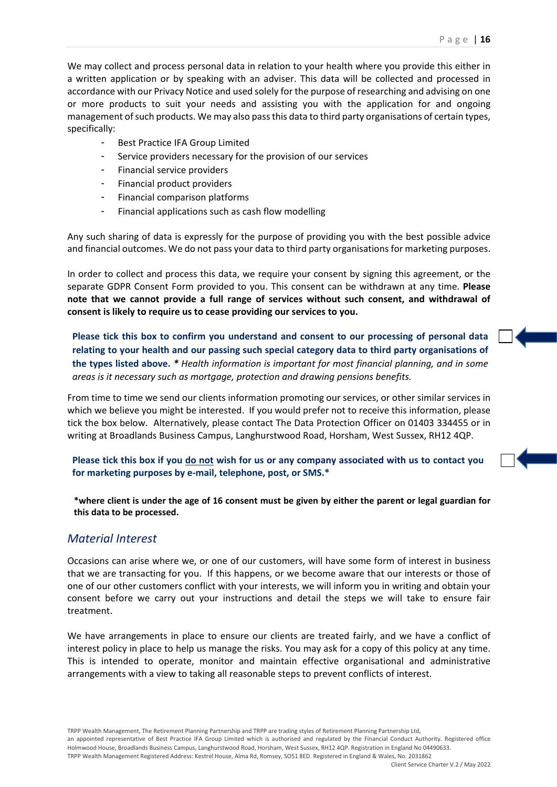We may collect and process personal data in relation to your health where you provide this either in a written application or by speaking with an adviser. This data will be collected and processed in accordance with our Privacy Notice and used solely for the purpose of researching and advising on one or more products to suit your needs and assisting you with the application for and ongoing management of such products. We may also pass this data to third party organisations of certain types, specifically:

- Best Practice IFA Group Limited
- Service providers necessary for the provision of our services
- Financial service providers
- Financial product providers
- Financial comparison platforms
- Financial applications such as cash flow modelling

Any such sharing of data is expressly for the purpose of providing you with the best possible advice and financial outcomes. We do not pass your data to third party organisations for marketing purposes.

In order to collect and process this data, we require your consent by signing this agreement, or the separate GDPR Consent Form provided to you. This consent can be withdrawn at any time. **Please note that we cannot provide a full range of services without such consent, and withdrawal of consent is likely to require us to cease providing our services to you.**

**Please tick this box to confirm you understand and consent to our processing of personal data relating to your health and our passing such special category data to third party organisations of the types listed above.** *\* Health information is important for most financial planning, and in some areas is it necessary such as mortgage, protection and drawing pensions benefits.*

From time to time we send our clients information promoting our services, or other similar services in which we believe you might be interested. If you would prefer not to receive this information, please tick the box below. Alternatively, please contact The Data Protection Officer on 01403 334455 or in writing at Broadlands Business Campus, Langhurstwood Road, Horsham, West Sussex, RH12 4QP.

#### **Please tick this box if you do not wish for us or any company associated with us to contact you for marketing purposes by e-mail, telephone, post, or SMS.\***

**\*where client is under the age of 16 consent must be given by either the parent or legal guardian for this data to be processed.**

#### *Material Interest*

Occasions can arise where we, or one of our customers, will have some form of interest in business that we are transacting for you. If this happens, or we become aware that our interests or those of one of our other customers conflict with your interests, we will inform you in writing and obtain your consent before we carry out your instructions and detail the steps we will take to ensure fair treatment.

We have arrangements in place to ensure our clients are treated fairly, and we have a conflict of interest policy in place to help us manage the risks. You may ask for a copy of this policy at any time. This is intended to operate, monitor and maintain effective organisational and administrative arrangements with a view to taking all reasonable steps to prevent conflicts of interest.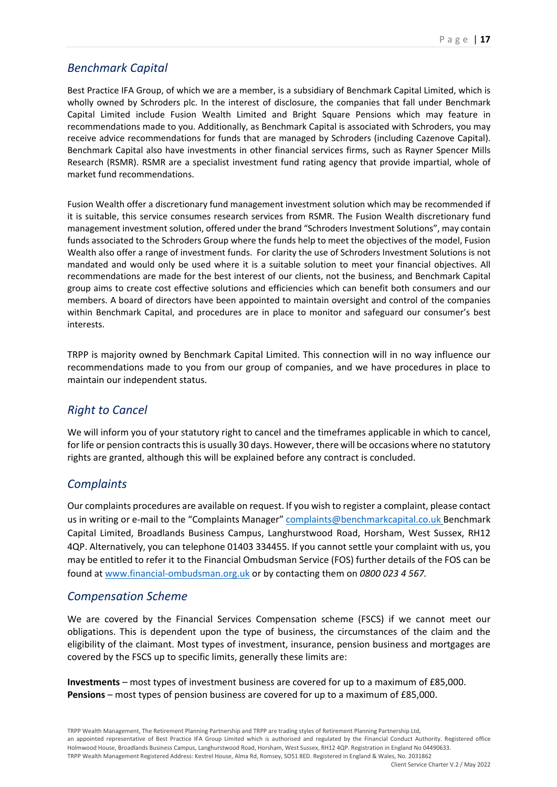### *Benchmark Capital*

Best Practice IFA Group, of which we are a member, is a subsidiary of Benchmark Capital Limited, which is wholly owned by Schroders plc. In the interest of disclosure, the companies that fall under Benchmark Capital Limited include Fusion Wealth Limited and Bright Square Pensions which may feature in recommendations made to you. Additionally, as Benchmark Capital is associated with Schroders, you may receive advice recommendations for funds that are managed by Schroders (including Cazenove Capital). Benchmark Capital also have investments in other financial services firms, such as Rayner Spencer Mills Research (RSMR). RSMR are a specialist investment fund rating agency that provide impartial, whole of market fund recommendations.

Fusion Wealth offer a discretionary fund management investment solution which may be recommended if it is suitable, this service consumes research services from RSMR. The Fusion Wealth discretionary fund management investment solution, offered under the brand "Schroders Investment Solutions", may contain funds associated to the Schroders Group where the funds help to meet the objectives of the model, Fusion Wealth also offer a range of investment funds. For clarity the use of Schroders Investment Solutions is not mandated and would only be used where it is a suitable solution to meet your financial objectives. All recommendations are made for the best interest of our clients, not the business, and Benchmark Capital group aims to create cost effective solutions and efficiencies which can benefit both consumers and our members. A board of directors have been appointed to maintain oversight and control of the companies within Benchmark Capital, and procedures are in place to monitor and safeguard our consumer's best interests.

TRPP is majority owned by Benchmark Capital Limited. This connection will in no way influence our recommendations made to you from our group of companies, and we have procedures in place to maintain our independent status.

#### *Right to Cancel*

We will inform you of your statutory right to cancel and the timeframes applicable in which to cancel, for life or pension contracts this is usually 30 days. However, there will be occasions where no statutory rights are granted, although this will be explained before any contract is concluded.

#### *Complaints*

Our complaints procedures are available on request. If you wish to register a complaint, please contact us in writing or e-mail to the "Complaints Manager[" complaints@benchmarkcapital.co.uk](mailto:complaints@benchmarkcapital.co.uk) Benchmark Capital Limited, Broadlands Business Campus, Langhurstwood Road, Horsham, West Sussex, RH12 4QP. Alternatively, you can telephone 01403 334455. If you cannot settle your complaint with us, you may be entitled to refer it to the Financial Ombudsman Service (FOS) further details of the FOS can be found at [www.financial-ombudsman.org.uk](http://www.financial-ombudsman.org.uk/) or by contacting them on *0800 023 4 567.*

#### *Compensation Scheme*

We are covered by the Financial Services Compensation scheme (FSCS) if we cannot meet our obligations. This is dependent upon the type of business, the circumstances of the claim and the eligibility of the claimant. Most types of investment, insurance, pension business and mortgages are covered by the FSCS up to specific limits, generally these limits are:

**Investments** – most types of investment business are covered for up to a maximum of £85,000. **Pensions** – most types of pension business are covered for up to a maximum of £85,000.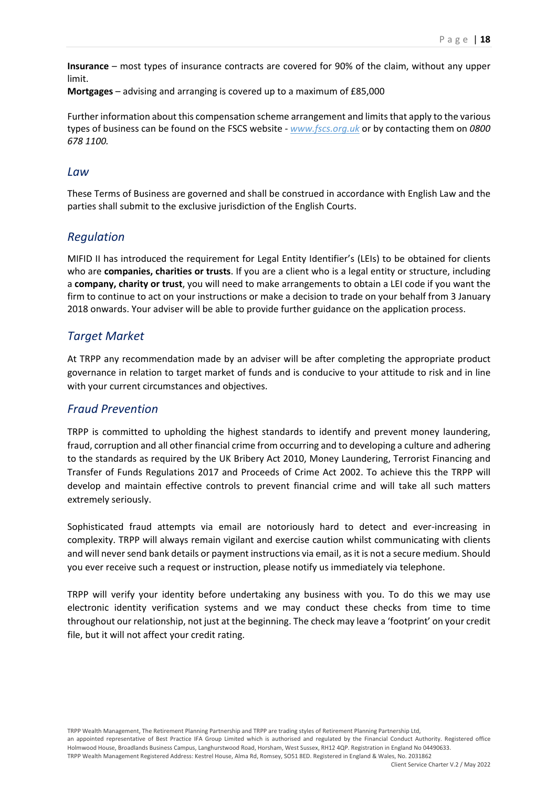**Insurance** – most types of insurance contracts are covered for 90% of the claim, without any upper limit.

**Mortgages** – advising and arranging is covered up to a maximum of £85,000

Further information about this compensation scheme arrangement and limits that apply to the various types of business can be found on the FSCS website - *www.fscs.org.uk* or by contacting them on *0800 678 1100.* 

#### *Law*

These Terms of Business are governed and shall be construed in accordance with English Law and the parties shall submit to the exclusive jurisdiction of the English Courts.

#### *Regulation*

MIFID II has introduced the requirement for Legal Entity Identifier's (LEIs) to be obtained for clients who are **companies, charities or trusts**. If you are a client who is a legal entity or structure, including a **company, charity or trust**, you will need to make arrangements to obtain a LEI code if you want the firm to continue to act on your instructions or make a decision to trade on your behalf from 3 January 2018 onwards. Your adviser will be able to provide further guidance on the application process.

#### *Target Market*

At TRPP any recommendation made by an adviser will be after completing the appropriate product governance in relation to target market of funds and is conducive to your attitude to risk and in line with your current circumstances and objectives.

#### *Fraud Prevention*

TRPP is committed to upholding the highest standards to identify and prevent money laundering, fraud, corruption and all other financial crime from occurring and to developing a culture and adhering to the standards as required by the UK Bribery Act 2010, Money Laundering, Terrorist Financing and Transfer of Funds Regulations 2017 and Proceeds of Crime Act 2002. To achieve this the TRPP will develop and maintain effective controls to prevent financial crime and will take all such matters extremely seriously.

Sophisticated fraud attempts via email are notoriously hard to detect and ever-increasing in complexity. TRPP will always remain vigilant and exercise caution whilst communicating with clients and will never send bank details or payment instructions via email, as it is not a secure medium. Should you ever receive such a request or instruction, please notify us immediately via telephone.

TRPP will verify your identity before undertaking any business with you. To do this we may use electronic identity verification systems and we may conduct these checks from time to time throughout our relationship, not just at the beginning. The check may leave a 'footprint' on your credit file, but it will not affect your credit rating.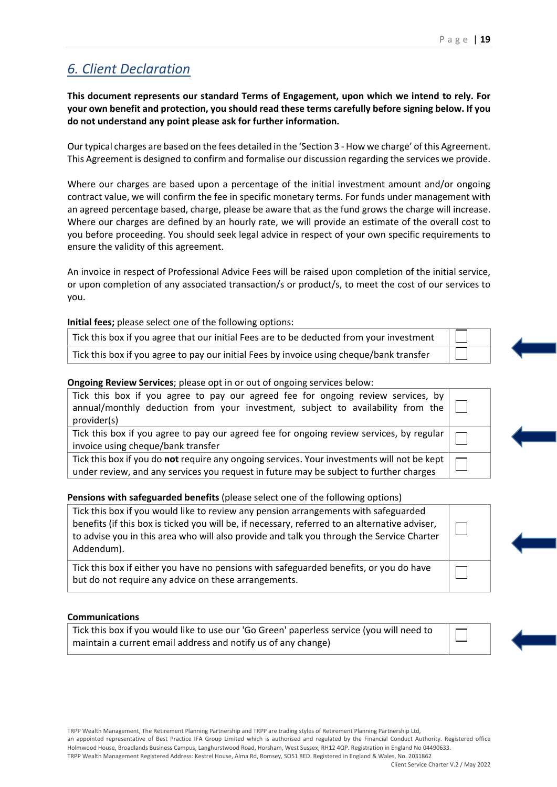# *6. Client Declaration*

**This document represents our standard Terms of Engagement, upon which we intend to rely. For your own benefit and protection, you should read these terms carefully before signing below. If you do not understand any point please ask for further information.** 

Our typical charges are based on the fees detailed in the 'Section 3 - How we charge' of this Agreement. This Agreement is designed to confirm and formalise our discussion regarding the services we provide.

Where our charges are based upon a percentage of the initial investment amount and/or ongoing contract value, we will confirm the fee in specific monetary terms. For funds under management with an agreed percentage based, charge, please be aware that as the fund grows the charge will increase. Where our charges are defined by an hourly rate, we will provide an estimate of the overall cost to you before proceeding. You should seek legal advice in respect of your own specific requirements to ensure the validity of this agreement.

An invoice in respect of Professional Advice Fees will be raised upon completion of the initial service, or upon completion of any associated transaction/s or product/s, to meet the cost of our services to you.

**Initial fees;** please select one of the following options:

but do not require any advice on these arrangements.

| Tick this box if you agree that our initial Fees are to be deducted from your investment |  |
|------------------------------------------------------------------------------------------|--|
| Tick this box if you agree to pay our initial Fees by invoice using cheque/bank transfer |  |

#### **Ongoing Review Services**; please opt in or out of ongoing services below:

| Tick this box if you agree to pay our agreed fee for ongoing review services, by<br>annual/monthly deduction from your investment, subject to availability from the<br>provider(s) |  |  |
|------------------------------------------------------------------------------------------------------------------------------------------------------------------------------------|--|--|
| Tick this box if you agree to pay our agreed fee for ongoing review services, by regular $\vert \vert$                                                                             |  |  |
| invoice using cheque/bank transfer                                                                                                                                                 |  |  |
| Tick this box if you do not require any ongoing services. Your investments will not be kept                                                                                        |  |  |
| under review, and any services you request in future may be subject to further charges                                                                                             |  |  |

#### **Pensions with safeguarded benefits** (please select one of the following options)

| Tick this box if you would like to review any pension arrangements with safeguarded            |  |
|------------------------------------------------------------------------------------------------|--|
| benefits (if this box is ticked you will be, if necessary, referred to an alternative adviser, |  |
| to advise you in this area who will also provide and talk you through the Service Charter      |  |
| Addendum).                                                                                     |  |
|                                                                                                |  |
| Tick this box if either you have no pensions with safeguarded benefits, or you do have         |  |

#### **Communications**

| Tick this box if you would like to use our 'Go Green' paperless service (you will need to |  |
|-------------------------------------------------------------------------------------------|--|
| maintain a current email address and notify us of any change)                             |  |